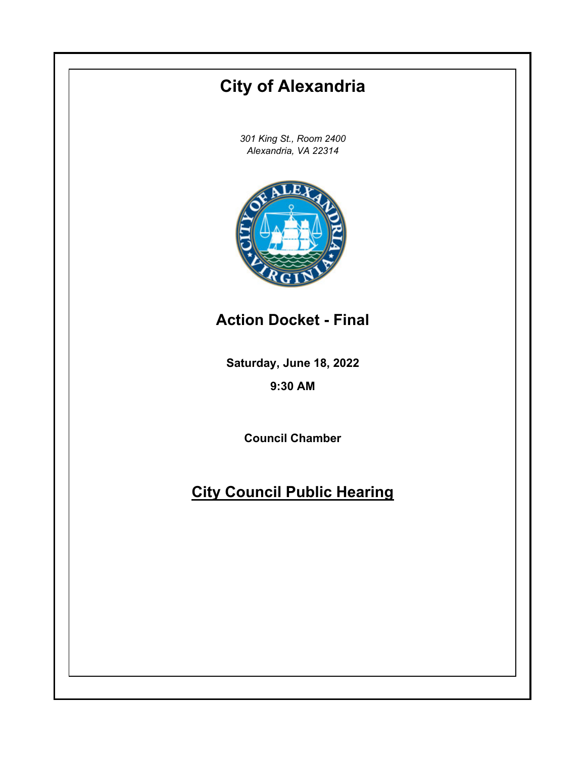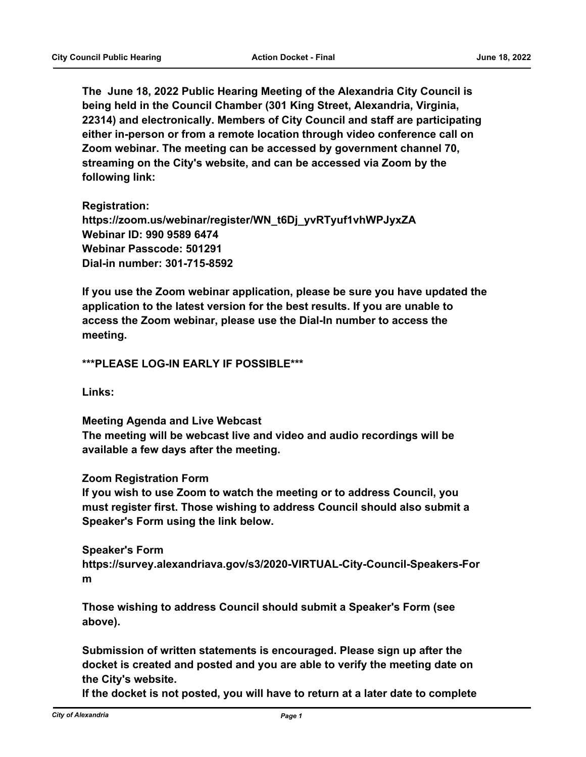**The June 18, 2022 Public Hearing Meeting of the Alexandria City Council is being held in the Council Chamber (301 King Street, Alexandria, Virginia, 22314) and electronically. Members of City Council and staff are participating either in-person or from a remote location through video conference call on Zoom webinar. The meeting can be accessed by government channel 70, streaming on the City's website, and can be accessed via Zoom by the following link:**

**Registration: https://zoom.us/webinar/register/WN\_t6Dj\_yvRTyuf1vhWPJyxZA Webinar ID: 990 9589 6474 Webinar Passcode: 501291 Dial-in number: 301-715-8592**

**If you use the Zoom webinar application, please be sure you have updated the application to the latest version for the best results. If you are unable to access the Zoom webinar, please use the Dial-In number to access the meeting.**

### **\*\*\*PLEASE LOG-IN EARLY IF POSSIBLE\*\*\***

**Links:**

**Meeting Agenda and Live Webcast The meeting will be webcast live and video and audio recordings will be available a few days after the meeting.**

### **Zoom Registration Form**

**If you wish to use Zoom to watch the meeting or to address Council, you must register first. Those wishing to address Council should also submit a Speaker's Form using the link below.**

### **Speaker's Form**

**https://survey.alexandriava.gov/s3/2020-VIRTUAL-City-Council-Speakers-For m**

**Those wishing to address Council should submit a Speaker's Form (see above).**

**Submission of written statements is encouraged. Please sign up after the docket is created and posted and you are able to verify the meeting date on the City's website.**

**If the docket is not posted, you will have to return at a later date to complete**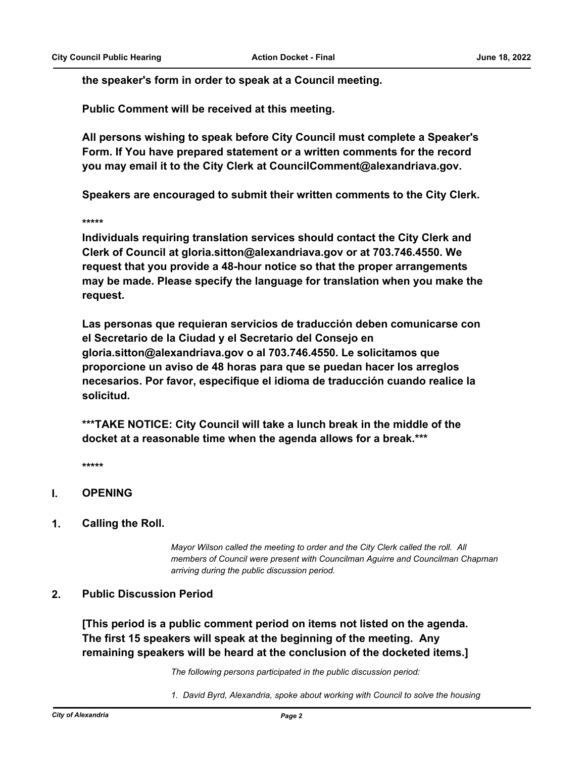**the speaker's form in order to speak at a Council meeting.**

**Public Comment will be received at this meeting.**

**All persons wishing to speak before City Council must complete a Speaker's Form. If You have prepared statement or a written comments for the record you may email it to the City Clerk at CouncilComment@alexandriava.gov.**

**Speakers are encouraged to submit their written comments to the City Clerk.**

**\*\*\*\*\***

**Individuals requiring translation services should contact the City Clerk and Clerk of Council at gloria.sitton@alexandriava.gov or at 703.746.4550. We request that you provide a 48-hour notice so that the proper arrangements may be made. Please specify the language for translation when you make the request.**

**Las personas que requieran servicios de traducción deben comunicarse con el Secretario de la Ciudad y el Secretario del Consejo en gloria.sitton@alexandriava.gov o al 703.746.4550. Le solicitamos que proporcione un aviso de 48 horas para que se puedan hacer los arreglos necesarios. Por favor, especifique el idioma de traducción cuando realice la solicitud.**

**\*\*\*TAKE NOTICE: City Council will take a lunch break in the middle of the docket at a reasonable time when the agenda allows for a break.\*\*\***

**\*\*\*\*\***

# **I. OPENING**

**1. Calling the Roll.**

*Mayor Wilson called the meeting to order and the City Clerk called the roll. All members of Council were present with Councilman Aguirre and Councilman Chapman arriving during the public discussion period.*

### **2. Public Discussion Period**

**[This period is a public comment period on items not listed on the agenda. The first 15 speakers will speak at the beginning of the meeting. Any remaining speakers will be heard at the conclusion of the docketed items.]**

*The following persons participated in the public discussion period:*

*1. David Byrd, Alexandria, spoke about working with Council to solve the housing*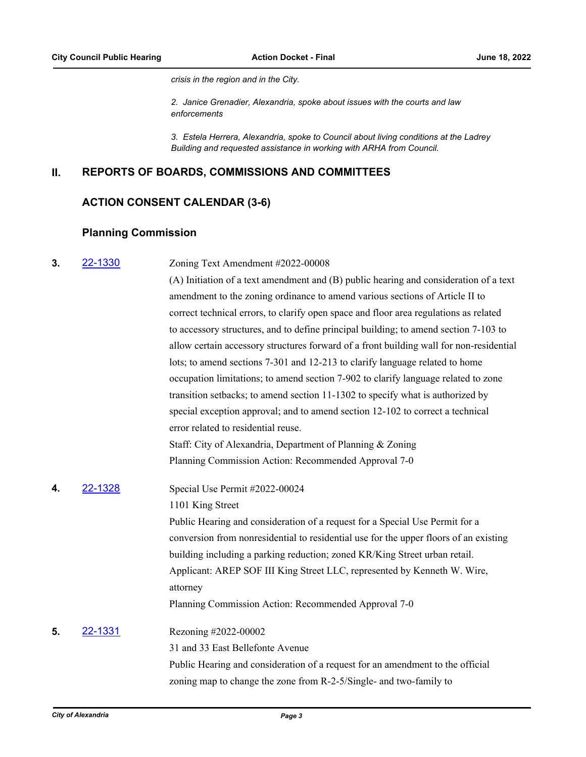*crisis in the region and in the City.*

*2. Janice Grenadier, Alexandria, spoke about issues with the courts and law enforcements*

*3. Estela Herrera, Alexandria, spoke to Council about living conditions at the Ladrey Building and requested assistance in working with ARHA from Council.*

# **II. REPORTS OF BOARDS, COMMISSIONS AND COMMITTEES**

# **ACTION CONSENT CALENDAR (3-6)**

# **Planning Commission**

| 3. | 22-1330 | Zoning Text Amendment #2022-00008                                                       |
|----|---------|-----------------------------------------------------------------------------------------|
|    |         | (A) Initiation of a text amendment and (B) public hearing and consideration of a text   |
|    |         | amendment to the zoning ordinance to amend various sections of Article II to            |
|    |         | correct technical errors, to clarify open space and floor area regulations as related   |
|    |         | to accessory structures, and to define principal building; to amend section 7-103 to    |
|    |         | allow certain accessory structures forward of a front building wall for non-residential |
|    |         | lots; to amend sections 7-301 and 12-213 to clarify language related to home            |
|    |         | occupation limitations; to amend section 7-902 to clarify language related to zone      |
|    |         | transition setbacks; to amend section 11-1302 to specify what is authorized by          |
|    |         | special exception approval; and to amend section 12-102 to correct a technical          |
|    |         | error related to residential reuse.                                                     |
|    |         | Staff: City of Alexandria, Department of Planning & Zoning                              |
|    |         | Planning Commission Action: Recommended Approval 7-0                                    |
| 4. | 22-1328 | Special Use Permit #2022-00024                                                          |
|    |         | 1101 King Street                                                                        |
|    |         | Public Hearing and consideration of a request for a Special Use Permit for a            |
|    |         | conversion from nonresidential to residential use for the upper floors of an existing   |
|    |         | building including a parking reduction; zoned KR/King Street urban retail.              |
|    |         | Applicant: AREP SOF III King Street LLC, represented by Kenneth W. Wire,                |
|    |         | attorney                                                                                |
|    |         | Planning Commission Action: Recommended Approval 7-0                                    |
| 5. | 22-1331 | Rezoning #2022-00002                                                                    |
|    |         | 31 and 33 East Bellefonte Avenue                                                        |
|    |         | Public Hearing and consideration of a request for an amendment to the official          |
|    |         | zoning map to change the zone from R-2-5/Single- and two-family to                      |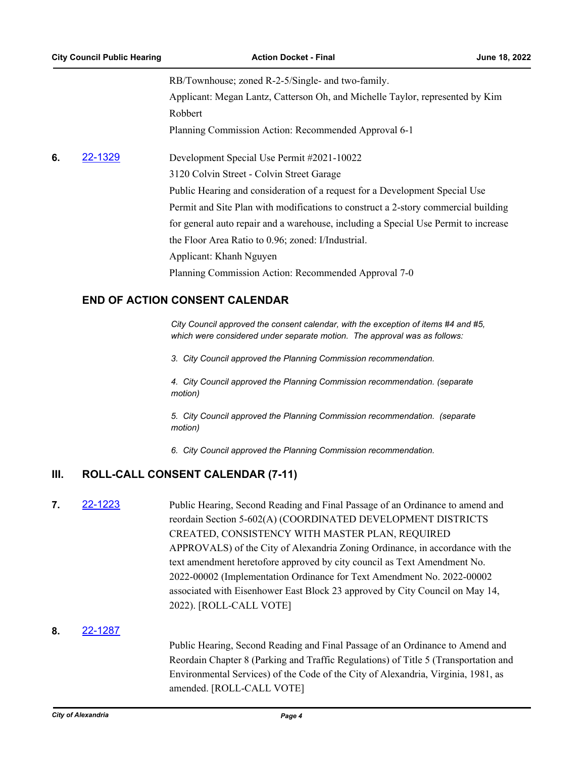RB/Townhouse; zoned R-2-5/Single- and two-family. Applicant: Megan Lantz, Catterson Oh, and Michelle Taylor, represented by Kim Robbert Planning Commission Action: Recommended Approval 6-1

**6. [22-1329](http://alexandria.legistar.com/gateway.aspx?m=l&id=/matter.aspx?key=14927)** Development Special Use Permit #2021-10022

3120 Colvin Street - Colvin Street Garage

Public Hearing and consideration of a request for a Development Special Use

Permit and Site Plan with modifications to construct a 2-story commercial building for general auto repair and a warehouse, including a Special Use Permit to increase

the Floor Area Ratio to 0.96; zoned: I/Industrial.

Applicant: Khanh Nguyen

Planning Commission Action: Recommended Approval 7-0

# **END OF ACTION CONSENT CALENDAR**

*City Council approved the consent calendar, with the exception of items #4 and #5, which were considered under separate motion. The approval was as follows:* 

*3. City Council approved the Planning Commission recommendation.*

*4. City Council approved the Planning Commission recommendation. (separate motion)*

*5. City Council approved the Planning Commission recommendation. (separate motion)*

*6. City Council approved the Planning Commission recommendation.*

# **III. ROLL-CALL CONSENT CALENDAR (7-11)**

**7. [22-1223](http://alexandria.legistar.com/gateway.aspx?m=l&id=/matter.aspx?key=14821)** Public Hearing, Second Reading and Final Passage of an Ordinance to amend and reordain Section 5-602(A) (COORDINATED DEVELOPMENT DISTRICTS CREATED, CONSISTENCY WITH MASTER PLAN, REQUIRED APPROVALS) of the City of Alexandria Zoning Ordinance, in accordance with the text amendment heretofore approved by city council as Text Amendment No. 2022-00002 (Implementation Ordinance for Text Amendment No. 2022-00002 associated with Eisenhower East Block 23 approved by City Council on May 14, 2022). [ROLL-CALL VOTE]

### **8.** [22-1287](http://alexandria.legistar.com/gateway.aspx?m=l&id=/matter.aspx?key=14885)

Public Hearing, Second Reading and Final Passage of an Ordinance to Amend and Reordain Chapter 8 (Parking and Traffic Regulations) of Title 5 (Transportation and Environmental Services) of the Code of the City of Alexandria, Virginia, 1981, as amended. [ROLL-CALL VOTE]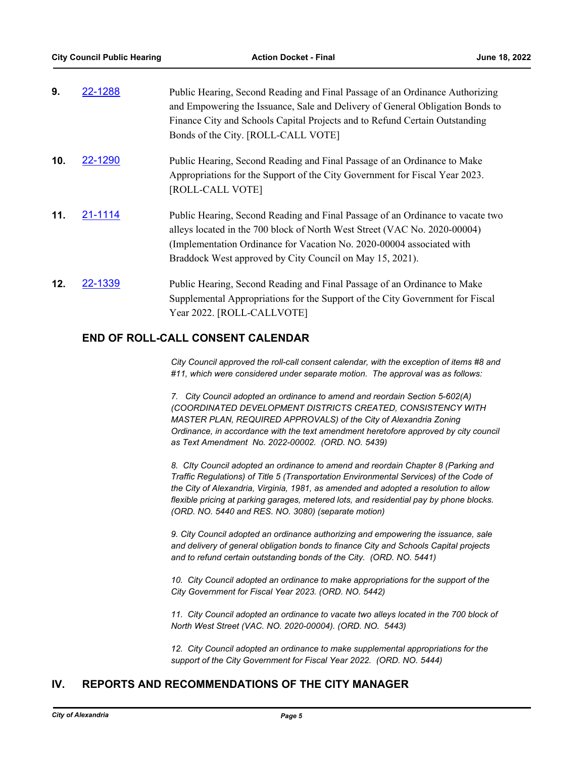| and Empowering the Issuance, Sale and Delivery of General Obligation Bonds to  |
|--------------------------------------------------------------------------------|
| Finance City and Schools Capital Projects and to Refund Certain Outstanding    |
|                                                                                |
|                                                                                |
|                                                                                |
|                                                                                |
| Public Hearing, Second Reading and Final Passage of an Ordinance to vacate two |
|                                                                                |
|                                                                                |
|                                                                                |
|                                                                                |
| Supplemental Appropriations for the Support of the City Government for Fiscal  |
|                                                                                |
|                                                                                |

# **END OF ROLL-CALL CONSENT CALENDAR**

*City Council approved the roll-call consent calendar, with the exception of items #8 and #11, which were considered under separate motion. The approval was as follows:* 

*7. City Council adopted an ordinance to amend and reordain Section 5-602(A) (COORDINATED DEVELOPMENT DISTRICTS CREATED, CONSISTENCY WITH MASTER PLAN, REQUIRED APPROVALS) of the City of Alexandria Zoning Ordinance, in accordance with the text amendment heretofore approved by city council as Text Amendment No. 2022-00002. (ORD. NO. 5439)*

*8. CIty Council adopted an ordinance to amend and reordain Chapter 8 (Parking and Traffic Regulations) of Title 5 (Transportation Environmental Services) of the Code of the City of Alexandria, Virginia, 1981, as amended and adopted a resolution to allow flexible pricing at parking garages, metered lots, and residential pay by phone blocks. (ORD. NO. 5440 and RES. NO. 3080) (separate motion)*

*9. City Council adopted an ordinance authorizing and empowering the issuance, sale and delivery of general obligation bonds to finance City and Schools Capital projects and to refund certain outstanding bonds of the City. (ORD. NO. 5441)*

*10. City Council adopted an ordinance to make appropriations for the support of the City Government for Fiscal Year 2023. (ORD. NO. 5442)*

*11. City Council adopted an ordinance to vacate two alleys located in the 700 block of North West Street (VAC. NO. 2020-00004). (ORD. NO. 5443)*

*12. City Council adopted an ordinance to make supplemental appropriations for the support of the City Government for Fiscal Year 2022. (ORD. NO. 5444)*

# **IV. REPORTS AND RECOMMENDATIONS OF THE CITY MANAGER**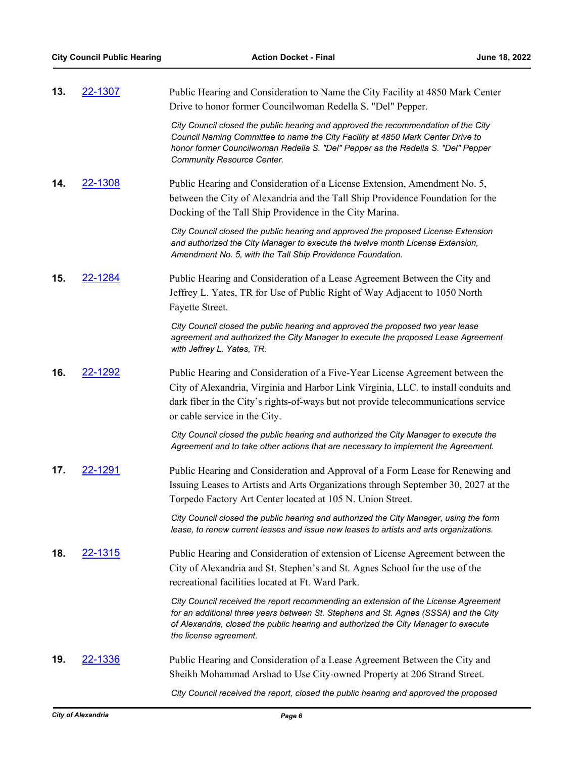| 13. | 22-1307        | Public Hearing and Consideration to Name the City Facility at 4850 Mark Center<br>Drive to honor former Councilwoman Redella S. "Del" Pepper.                                                                                                                                                |
|-----|----------------|----------------------------------------------------------------------------------------------------------------------------------------------------------------------------------------------------------------------------------------------------------------------------------------------|
|     |                | City Council closed the public hearing and approved the recommendation of the City<br>Council Naming Committee to name the City Facility at 4850 Mark Center Drive to<br>honor former Councilwoman Redella S. "Del" Pepper as the Redella S. "Del" Pepper<br>Community Resource Center.      |
| 14. | 22-1308        | Public Hearing and Consideration of a License Extension, Amendment No. 5,                                                                                                                                                                                                                    |
|     |                | between the City of Alexandria and the Tall Ship Providence Foundation for the                                                                                                                                                                                                               |
|     |                | Docking of the Tall Ship Providence in the City Marina.                                                                                                                                                                                                                                      |
|     |                | City Council closed the public hearing and approved the proposed License Extension<br>and authorized the City Manager to execute the twelve month License Extension,<br>Amendment No. 5, with the Tall Ship Providence Foundation.                                                           |
| 15. | 22-1284        | Public Hearing and Consideration of a Lease Agreement Between the City and<br>Jeffrey L. Yates, TR for Use of Public Right of Way Adjacent to 1050 North                                                                                                                                     |
|     |                | Fayette Street.                                                                                                                                                                                                                                                                              |
|     |                | City Council closed the public hearing and approved the proposed two year lease<br>agreement and authorized the City Manager to execute the proposed Lease Agreement<br>with Jeffrey L. Yates, TR.                                                                                           |
| 16. | 22-1292        | Public Hearing and Consideration of a Five-Year License Agreement between the<br>City of Alexandria, Virginia and Harbor Link Virginia, LLC. to install conduits and<br>dark fiber in the City's rights-of-ways but not provide telecommunications service<br>or cable service in the City.  |
|     |                | City Council closed the public hearing and authorized the City Manager to execute the<br>Agreement and to take other actions that are necessary to implement the Agreement.                                                                                                                  |
| 17. | 22-1291        | Public Hearing and Consideration and Approval of a Form Lease for Renewing and<br>Issuing Leases to Artists and Arts Organizations through September 30, 2027 at the<br>Torpedo Factory Art Center located at 105 N. Union Street.                                                           |
|     |                | City Council closed the public hearing and authorized the City Manager, using the form<br>lease, to renew current leases and issue new leases to artists and arts organizations.                                                                                                             |
| 18. | <u>22-1315</u> | Public Hearing and Consideration of extension of License Agreement between the                                                                                                                                                                                                               |
|     |                | City of Alexandria and St. Stephen's and St. Agnes School for the use of the                                                                                                                                                                                                                 |
|     |                | recreational facilities located at Ft. Ward Park.                                                                                                                                                                                                                                            |
|     |                | City Council received the report recommending an extension of the License Agreement<br>for an additional three years between St. Stephens and St. Agnes (SSSA) and the City<br>of Alexandria, closed the public hearing and authorized the City Manager to execute<br>the license agreement. |
| 19. | <u>22-1336</u> | Public Hearing and Consideration of a Lease Agreement Between the City and                                                                                                                                                                                                                   |
|     |                | Sheikh Mohammad Arshad to Use City-owned Property at 206 Strand Street.                                                                                                                                                                                                                      |
|     |                | City Council received the report, closed the public hearing and approved the proposed                                                                                                                                                                                                        |